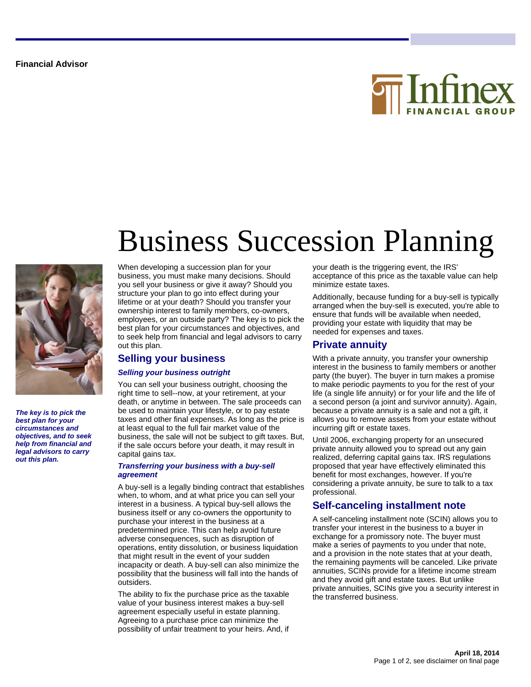**Financial Advisor**





**The key is to pick the best plan for your circumstances and objectives, and to seek help from financial and legal advisors to carry out this plan.**

# Business Succession Planning

When developing a succession plan for your business, you must make many decisions. Should you sell your business or give it away? Should you structure your plan to go into effect during your lifetime or at your death? Should you transfer your ownership interest to family members, co-owners, employees, or an outside party? The key is to pick the best plan for your circumstances and objectives, and to seek help from financial and legal advisors to carry out this plan.

## **Selling your business**

#### **Selling your business outright**

You can sell your business outright, choosing the right time to sell--now, at your retirement, at your death, or anytime in between. The sale proceeds can be used to maintain your lifestyle, or to pay estate taxes and other final expenses. As long as the price is at least equal to the full fair market value of the business, the sale will not be subject to gift taxes. But, if the sale occurs before your death, it may result in capital gains tax.

#### **Transferring your business with a buy-sell agreement**

A buy-sell is a legally binding contract that establishes when, to whom, and at what price you can sell your interest in a business. A typical buy-sell allows the business itself or any co-owners the opportunity to purchase your interest in the business at a predetermined price. This can help avoid future adverse consequences, such as disruption of operations, entity dissolution, or business liquidation that might result in the event of your sudden incapacity or death. A buy-sell can also minimize the possibility that the business will fall into the hands of outsiders.

The ability to fix the purchase price as the taxable value of your business interest makes a buy-sell agreement especially useful in estate planning. Agreeing to a purchase price can minimize the possibility of unfair treatment to your heirs. And, if

your death is the triggering event, the IRS' acceptance of this price as the taxable value can help minimize estate taxes.

Additionally, because funding for a buy-sell is typically arranged when the buy-sell is executed, you're able to ensure that funds will be available when needed, providing your estate with liquidity that may be needed for expenses and taxes.

#### **Private annuity**

With a private annuity, you transfer your ownership interest in the business to family members or another party (the buyer). The buyer in turn makes a promise to make periodic payments to you for the rest of your life (a single life annuity) or for your life and the life of a second person (a joint and survivor annuity). Again, because a private annuity is a sale and not a gift, it allows you to remove assets from your estate without incurring gift or estate taxes.

Until 2006, exchanging property for an unsecured private annuity allowed you to spread out any gain realized, deferring capital gains tax. IRS regulations proposed that year have effectively eliminated this benefit for most exchanges, however. If you're considering a private annuity, be sure to talk to a tax professional.

## **Self-canceling installment note**

A self-canceling installment note (SCIN) allows you to transfer your interest in the business to a buyer in exchange for a promissory note. The buyer must make a series of payments to you under that note, and a provision in the note states that at your death, the remaining payments will be canceled. Like private annuities, SCINs provide for a lifetime income stream and they avoid gift and estate taxes. But unlike private annuities, SCINs give you a security interest in the transferred business.